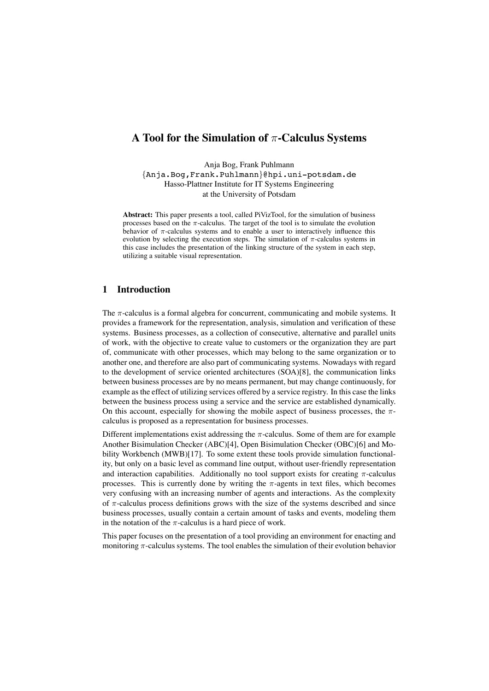# **A Tool for the Simulation of** π**-Calculus Systems**

Anja Bog, Frank Puhlmann *{*Anja.Bog,Frank.Puhlmann*}*@hpi.uni-potsdam.de Hasso-Plattner Institute for IT Systems Engineering at the University of Potsdam

**Abstract:** This paper presents a tool, called PiVizTool, for the simulation of business processes based on the  $\pi$ -calculus. The target of the tool is to simulate the evolution behavior of  $\pi$ -calculus systems and to enable a user to interactively influence this evolution by selecting the execution steps. The simulation of  $\pi$ -calculus systems in this case includes the presentation of the linking structure of the system in each step, utilizing a suitable visual representation.

#### **1 Introduction**

The  $\pi$ -calculus is a formal algebra for concurrent, communicating and mobile systems. It provides a framework for the representation, analysis, simulation and verification of these systems. Business processes, as a collection of consecutive, alternative and parallel units of work, with the objective to create value to customers or the organization they are part of, communicate with other processes, which may belong to the same organization or to another one, and therefore are also part of communicating systems. Nowadays with regard to the development of service oriented architectures (SOA)[8], the communication links between business processes are by no means permanent, but may change continuously, for example as the effect of utilizing services offered by a service registry. In this case the links between the business process using a service and the service are established dynamically. On this account, especially for showing the mobile aspect of business processes, the  $\pi$ calculus is proposed as a representation for business processes.

Different implementations exist addressing the  $\pi$ -calculus. Some of them are for example Another Bisimulation Checker (ABC)[4], Open Bisimulation Checker (OBC)[6] and Mobility Workbench (MWB)[17]. To some extent these tools provide simulation functionality, but only on a basic level as command line output, without user-friendly representation and interaction capabilities. Additionally no tool support exists for creating  $\pi$ -calculus processes. This is currently done by writing the  $\pi$ -agents in text files, which becomes very confusing with an increasing number of agents and interactions. As the complexity of  $\pi$ -calculus process definitions grows with the size of the systems described and since business processes, usually contain a certain amount of tasks and events, modeling them in the notation of the  $\pi$ -calculus is a hard piece of work.

This paper focuses on the presentation of a tool providing an environment for enacting and monitoring  $\pi$ -calculus systems. The tool enables the simulation of their evolution behavior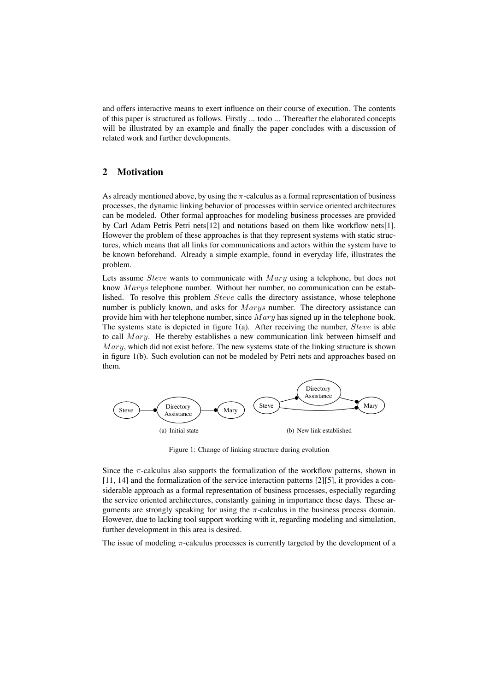and offers interactive means to exert influence on their course of execution. The contents of this paper is structured as follows. Firstly ... todo ... Thereafter the elaborated concepts will be illustrated by an example and finally the paper concludes with a discussion of related work and further developments.

## **2 Motivation**

As already mentioned above, by using the  $\pi$ -calculus as a formal representation of business processes, the dynamic linking behavior of processes within service oriented architectures can be modeled. Other formal approaches for modeling business processes are provided by Carl Adam Petris Petri nets[12] and notations based on them like workflow nets[1]. However the problem of these approaches is that they represent systems with static structures, which means that all links for communications and actors within the system have to be known beforehand. Already a simple example, found in everyday life, illustrates the problem.

Lets assume *Steve* wants to communicate with *Mary* using a telephone, but does not know Marys telephone number. Without her number, no communication can be established. To resolve this problem Steve calls the directory assistance, whose telephone number is publicly known, and asks for *Marys* number. The directory assistance can provide him with her telephone number, since  $Mary$  has signed up in the telephone book. The systems state is depicted in figure  $1(a)$ . After receiving the number, *Steve* is able to call  $Mary$ . He thereby establishes a new communication link between himself and  $Mary$ , which did not exist before. The new systems state of the linking structure is shown in figure 1(b). Such evolution can not be modeled by Petri nets and approaches based on them.



Figure 1: Change of linking structure during evolution

Since the  $\pi$ -calculus also supports the formalization of the workflow patterns, shown in [11, 14] and the formalization of the service interaction patterns [2][5], it provides a considerable approach as a formal representation of business processes, especially regarding the service oriented architectures, constantly gaining in importance these days. These arguments are strongly speaking for using the  $\pi$ -calculus in the business process domain. However, due to lacking tool support working with it, regarding modeling and simulation, further development in this area is desired.

The issue of modeling  $\pi$ -calculus processes is currently targeted by the development of a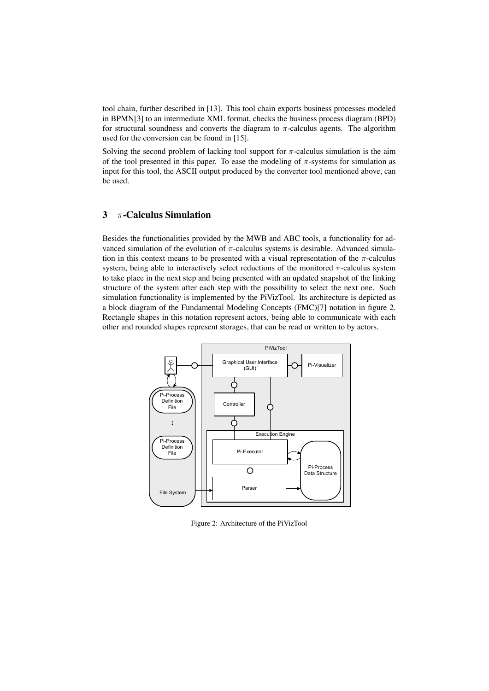tool chain, further described in [13]. This tool chain exports business processes modeled in BPMN[3] to an intermediate XML format, checks the business process diagram (BPD) for structural soundness and converts the diagram to  $\pi$ -calculus agents. The algorithm used for the conversion can be found in [15].

Solving the second problem of lacking tool support for  $\pi$ -calculus simulation is the aim of the tool presented in this paper. To ease the modeling of  $\pi$ -systems for simulation as input for this tool, the ASCII output produced by the converter tool mentioned above, can be used.

## **3** π**-Calculus Simulation**

Besides the functionalities provided by the MWB and ABC tools, a functionality for advanced simulation of the evolution of  $\pi$ -calculus systems is desirable. Advanced simulation in this context means to be presented with a visual representation of the  $\pi$ -calculus system, being able to interactively select reductions of the monitored  $\pi$ -calculus system to take place in the next step and being presented with an updated snapshot of the linking structure of the system after each step with the possibility to select the next one. Such simulation functionality is implemented by the PiVizTool. Its architecture is depicted as a block diagram of the Fundamental Modeling Concepts (FMC)[7] notation in figure 2. Rectangle shapes in this notation represent actors, being able to communicate with each other and rounded shapes represent storages, that can be read or written to by actors.



Figure 2: Architecture of the PiVizTool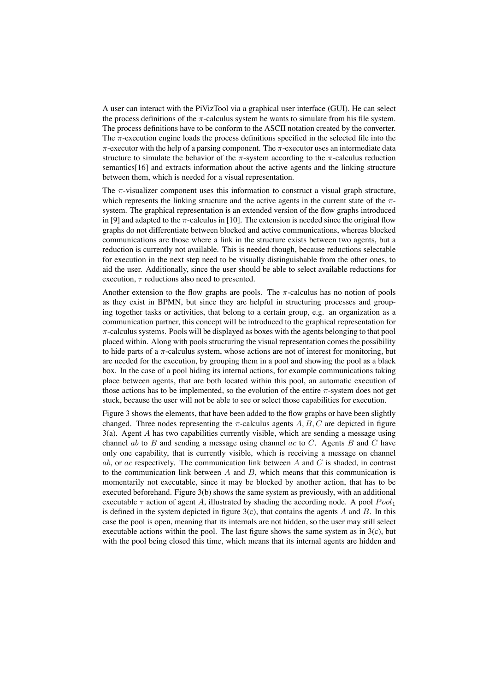A user can interact with the PiVizTool via a graphical user interface (GUI). He can select the process definitions of the  $\pi$ -calculus system he wants to simulate from his file system. The process definitions have to be conform to the ASCII notation created by the converter. The  $\pi$ -execution engine loads the process definitions specified in the selected file into the  $\pi$ -executor with the help of a parsing component. The  $\pi$ -executor uses an intermediate data structure to simulate the behavior of the  $\pi$ -system according to the  $\pi$ -calculus reduction semantics[16] and extracts information about the active agents and the linking structure between them, which is needed for a visual representation.

The  $\pi$ -visualizer component uses this information to construct a visual graph structure, which represents the linking structure and the active agents in the current state of the  $\pi$ system. The graphical representation is an extended version of the flow graphs introduced in [9] and adapted to the  $\pi$ -calculus in [10]. The extension is needed since the original flow graphs do not differentiate between blocked and active communications, whereas blocked communications are those where a link in the structure exists between two agents, but a reduction is currently not available. This is needed though, because reductions selectable for execution in the next step need to be visually distinguishable from the other ones, to aid the user. Additionally, since the user should be able to select available reductions for execution,  $\tau$  reductions also need to presented.

Another extension to the flow graphs are pools. The  $\pi$ -calculus has no notion of pools as they exist in BPMN, but since they are helpful in structuring processes and grouping together tasks or activities, that belong to a certain group, e.g. an organization as a communication partner, this concept will be introduced to the graphical representation for  $\pi$ -calculus systems. Pools will be displayed as boxes with the agents belonging to that pool placed within. Along with pools structuring the visual representation comes the possibility to hide parts of a  $\pi$ -calculus system, whose actions are not of interest for monitoring, but are needed for the execution, by grouping them in a pool and showing the pool as a black box. In the case of a pool hiding its internal actions, for example communications taking place between agents, that are both located within this pool, an automatic execution of those actions has to be implemented, so the evolution of the entire  $\pi$ -system does not get stuck, because the user will not be able to see or select those capabilities for execution.

Figure 3 shows the elements, that have been added to the flow graphs or have been slightly changed. Three nodes representing the  $\pi$ -calculus agents A, B, C are depicted in figure  $3(a)$ . Agent A has two capabilities currently visible, which are sending a message using channel ab to  $B$  and sending a message using channel ac to  $C$ . Agents  $B$  and  $C$  have only one capability, that is currently visible, which is receiving a message on channel ab, or ac respectively. The communication link between  $A$  and  $C$  is shaded, in contrast to the communication link between  $A$  and  $B$ , which means that this communication is momentarily not executable, since it may be blocked by another action, that has to be executed beforehand. Figure 3(b) shows the same system as previously, with an additional executable  $\tau$  action of agent A, illustrated by shading the according node. A pool  $Pool_1$ is defined in the system depicted in figure  $3(c)$ , that contains the agents A and B. In this case the pool is open, meaning that its internals are not hidden, so the user may still select executable actions within the pool. The last figure shows the same system as in  $3(c)$ , but with the pool being closed this time, which means that its internal agents are hidden and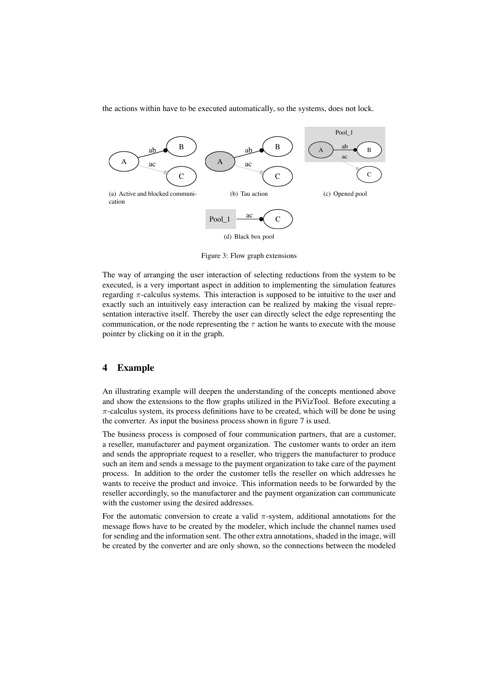the actions within have to be executed automatically, so the systems, does not lock.



Figure 3: Flow graph extensions

The way of arranging the user interaction of selecting reductions from the system to be executed, is a very important aspect in addition to implementing the simulation features regarding  $\pi$ -calculus systems. This interaction is supposed to be intuitive to the user and exactly such an intuitively easy interaction can be realized by making the visual representation interactive itself. Thereby the user can directly select the edge representing the communication, or the node representing the  $\tau$  action he wants to execute with the mouse pointer by clicking on it in the graph.

#### **4 Example**

An illustrating example will deepen the understanding of the concepts mentioned above and show the extensions to the flow graphs utilized in the PiVizTool. Before executing a  $\pi$ -calculus system, its process definitions have to be created, which will be done be using the converter. As input the business process shown in figure 7 is used.

The business process is composed of four communication partners, that are a customer, a reseller, manufacturer and payment organization. The customer wants to order an item and sends the appropriate request to a reseller, who triggers the manufacturer to produce such an item and sends a message to the payment organization to take care of the payment process. In addition to the order the customer tells the reseller on which addresses he wants to receive the product and invoice. This information needs to be forwarded by the reseller accordingly, so the manufacturer and the payment organization can communicate with the customer using the desired addresses.

For the automatic conversion to create a valid  $\pi$ -system, additional annotations for the message flows have to be created by the modeler, which include the channel names used for sending and the information sent. The other extra annotations, shaded in the image, will be created by the converter and are only shown, so the connections between the modeled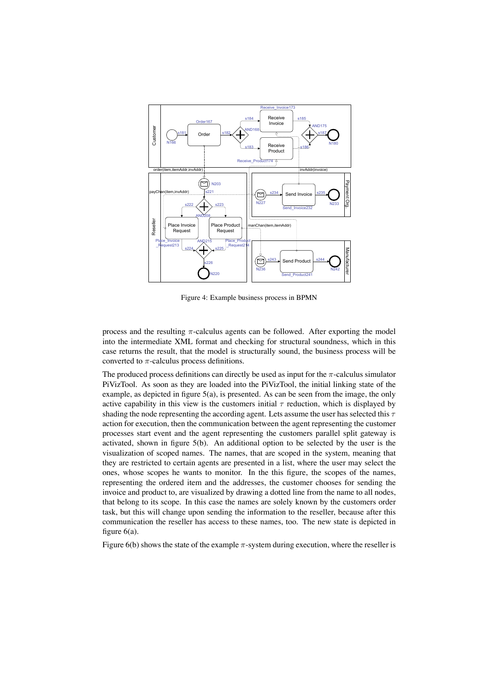

Figure 4: Example business process in BPMN

process and the resulting  $\pi$ -calculus agents can be followed. After exporting the model into the intermediate XML format and checking for structural soundness, which in this case returns the result, that the model is structurally sound, the business process will be converted to  $\pi$ -calculus process definitions.

The produced process definitions can directly be used as input for the  $\pi$ -calculus simulator PiVizTool. As soon as they are loaded into the PiVizTool, the initial linking state of the example, as depicted in figure 5(a), is presented. As can be seen from the image, the only active capability in this view is the customers initial  $\tau$  reduction, which is displayed by shading the node representing the according agent. Lets assume the user has selected this  $\tau$ action for execution, then the communication between the agent representing the customer processes start event and the agent representing the customers parallel split gateway is activated, shown in figure 5(b). An additional option to be selected by the user is the visualization of scoped names. The names, that are scoped in the system, meaning that they are restricted to certain agents are presented in a list, where the user may select the ones, whose scopes he wants to monitor. In the this figure, the scopes of the names, representing the ordered item and the addresses, the customer chooses for sending the invoice and product to, are visualized by drawing a dotted line from the name to all nodes, that belong to its scope. In this case the names are solely known by the customers order task, but this will change upon sending the information to the reseller, because after this communication the reseller has access to these names, too. The new state is depicted in figure 6(a).

Figure 6(b) shows the state of the example  $\pi$ -system during execution, where the reseller is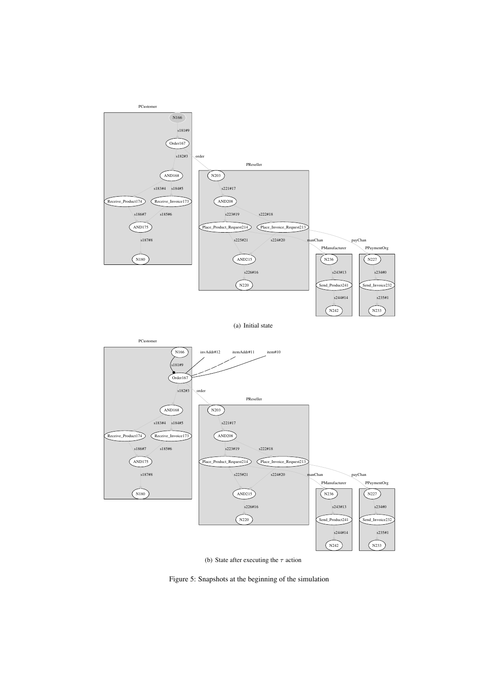

(b) State after executing the  $\tau$  action

Figure 5: Snapshots at the beginning of the simulation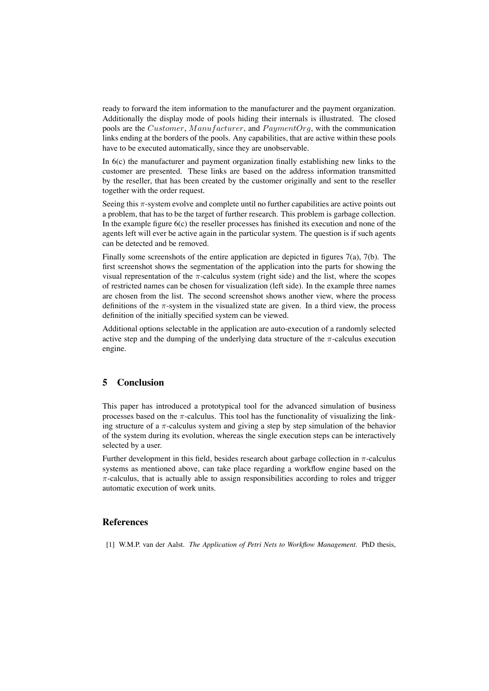ready to forward the item information to the manufacturer and the payment organization. Additionally the display mode of pools hiding their internals is illustrated. The closed pools are the Customer, Manufacturer, and PaymentOrg, with the communication links ending at the borders of the pools. Any capabilities, that are active within these pools have to be executed automatically, since they are unobservable.

In 6(c) the manufacturer and payment organization finally establishing new links to the customer are presented. These links are based on the address information transmitted by the reseller, that has been created by the customer originally and sent to the reseller together with the order request.

Seeing this  $\pi$ -system evolve and complete until no further capabilities are active points out a problem, that has to be the target of further research. This problem is garbage collection. In the example figure  $6(c)$  the reseller processes has finished its execution and none of the agents left will ever be active again in the particular system. The question is if such agents can be detected and be removed.

Finally some screenshots of the entire application are depicted in figures 7(a), 7(b). The first screenshot shows the segmentation of the application into the parts for showing the visual representation of the  $\pi$ -calculus system (right side) and the list, where the scopes of restricted names can be chosen for visualization (left side). In the example three names are chosen from the list. The second screenshot shows another view, where the process definitions of the  $\pi$ -system in the visualized state are given. In a third view, the process definition of the initially specified system can be viewed.

Additional options selectable in the application are auto-execution of a randomly selected active step and the dumping of the underlying data structure of the  $\pi$ -calculus execution engine.

### **5 Conclusion**

This paper has introduced a prototypical tool for the advanced simulation of business processes based on the  $\pi$ -calculus. This tool has the functionality of visualizing the linking structure of a  $\pi$ -calculus system and giving a step by step simulation of the behavior of the system during its evolution, whereas the single execution steps can be interactively selected by a user.

Further development in this field, besides research about garbage collection in  $\pi$ -calculus systems as mentioned above, can take place regarding a workflow engine based on the  $\pi$ -calculus, that is actually able to assign responsibilities according to roles and trigger automatic execution of work units.

#### **References**

[1] W.M.P. van der Aalst. *The Application of Petri Nets to Workflow Management*. PhD thesis,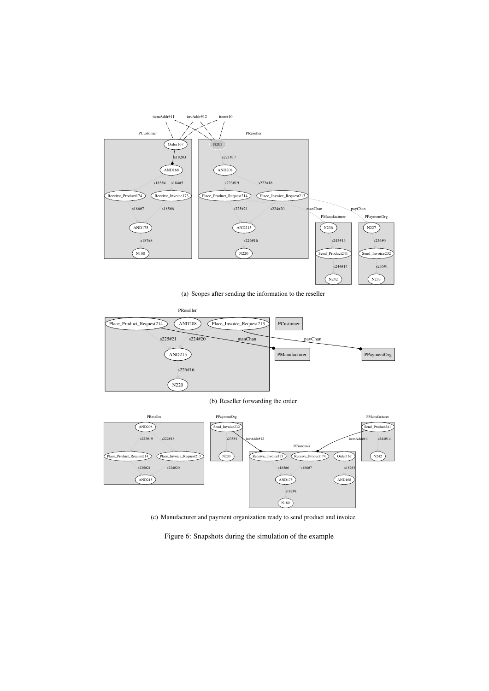

(a) Scopes after sending the information to the reseller



(b) Reseller forwarding the order



(c) Manufacturer and payment organization ready to send product and invoice

Figure 6: Snapshots during the simulation of the example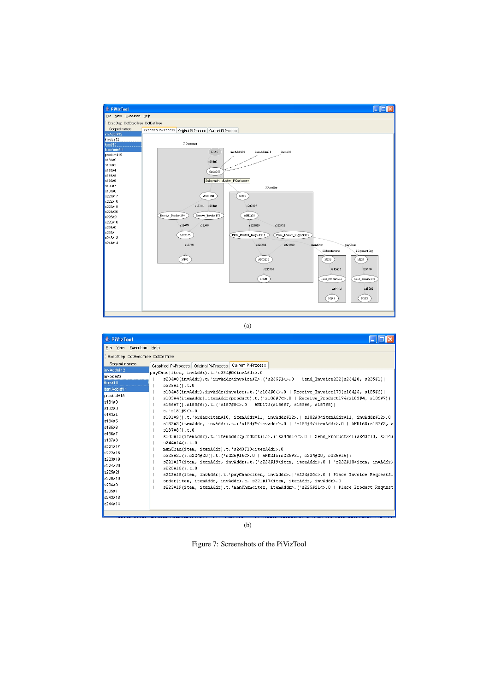

(a)

(b)

Figure 7: Screenshots of the PiVizTool